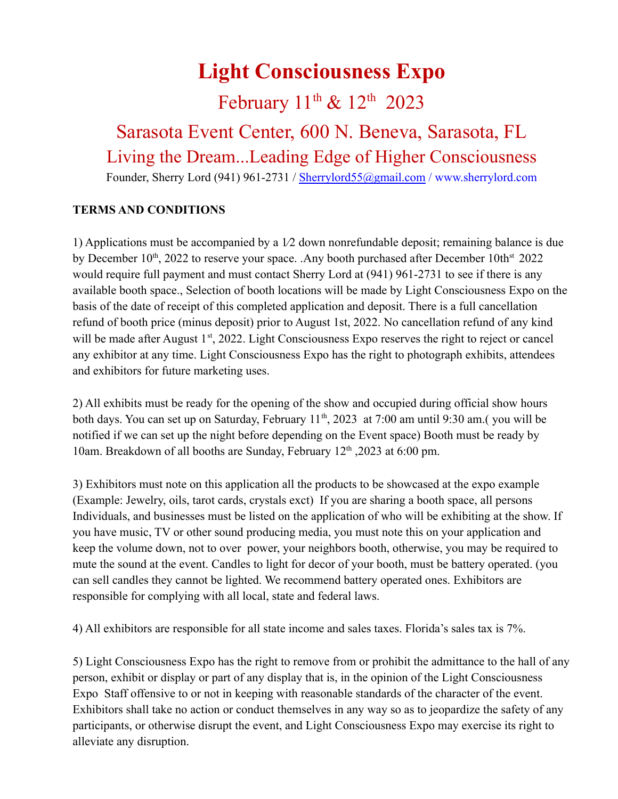## **Light Consciousness Expo**

### February  $11^{\text{th}}$  &  $12^{\text{th}}$  2023

## Sarasota Event Center, 600 N. Beneva, Sarasota, FL Living the Dream...Leading Edge of Higher Consciousness

Founder, Sherry Lord (941) 961-2731 / [Sherrylord55@gmail.com](mailto:Sherrylord55@gmail.com) / www.sherrylord.com

#### **TERMS AND CONDITIONS**

1) Applications must be accompanied by a 1⁄2 down nonrefundable deposit; remaining balance is due by December  $10^{th}$ , 2022 to reserve your space. .Any booth purchased after December  $10th<sup>st</sup>$  2022 would require full payment and must contact Sherry Lord at (941) 961-2731 to see if there is any available booth space., Selection of booth locations will be made by Light Consciousness Expo on the basis of the date of receipt of this completed application and deposit. There is a full cancellation refund of booth price (minus deposit) prior to August 1st, 2022. No cancellation refund of any kind will be made after August 1<sup>st</sup>, 2022. Light Consciousness Expo reserves the right to reject or cancel any exhibitor at any time. Light Consciousness Expo has the right to photograph exhibits, attendees and exhibitors for future marketing uses.

2) All exhibits must be ready for the opening of the show and occupied during official show hours both days. You can set up on Saturday, February 11<sup>th</sup>, 2023 at 7:00 am until 9:30 am. (you will be notified if we can set up the night before depending on the Event space) Booth must be ready by 10am. Breakdown of all booths are Sunday, February 12<sup>th</sup>, 2023 at 6:00 pm.

3) Exhibitors must note on this application all the products to be showcased at the expo example (Example: Jewelry, oils, tarot cards, crystals exct) If you are sharing a booth space, all persons Individuals, and businesses must be listed on the application of who will be exhibiting at the show. If you have music, TV or other sound producing media, you must note this on your application and keep the volume down, not to over power, your neighbors booth, otherwise, you may be required to mute the sound at the event. Candles to light for decor of your booth, must be battery operated. (you can sell candles they cannot be lighted. We recommend battery operated ones. Exhibitors are responsible for complying with all local, state and federal laws.

4) All exhibitors are responsible for all state income and sales taxes. Florida's sales tax is 7%.

5) Light Consciousness Expo has the right to remove from or prohibit the admittance to the hall of any person, exhibit or display or part of any display that is, in the opinion of the Light Consciousness Expo Staff offensive to or not in keeping with reasonable standards of the character of the event. Exhibitors shall take no action or conduct themselves in any way so as to jeopardize the safety of any participants, or otherwise disrupt the event, and Light Consciousness Expo may exercise its right to alleviate any disruption.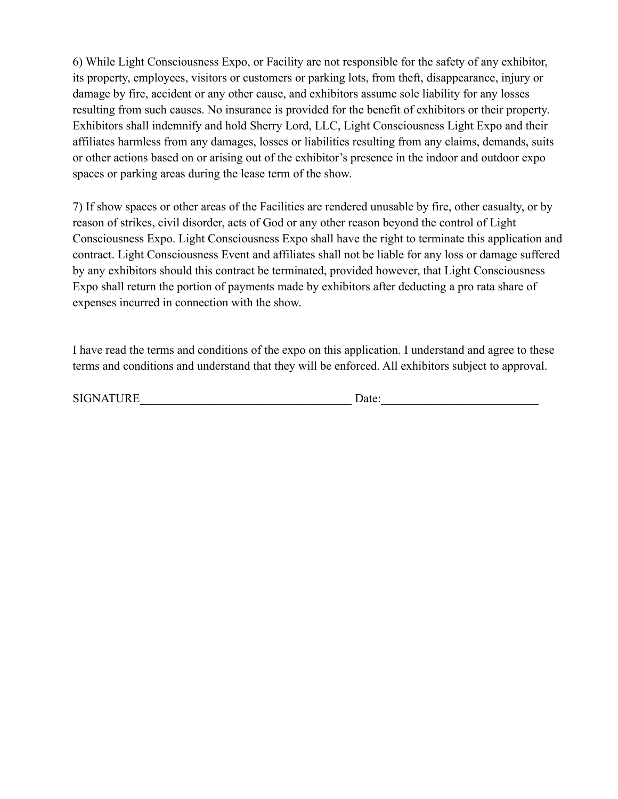6) While Light Consciousness Expo, or Facility are not responsible for the safety of any exhibitor, its property, employees, visitors or customers or parking lots, from theft, disappearance, injury or damage by fire, accident or any other cause, and exhibitors assume sole liability for any losses resulting from such causes. No insurance is provided for the benefit of exhibitors or their property. Exhibitors shall indemnify and hold Sherry Lord, LLC, Light Consciousness Light Expo and their affiliates harmless from any damages, losses or liabilities resulting from any claims, demands, suits or other actions based on or arising out of the exhibitor's presence in the indoor and outdoor expo spaces or parking areas during the lease term of the show.

7) If show spaces or other areas of the Facilities are rendered unusable by fire, other casualty, or by reason of strikes, civil disorder, acts of God or any other reason beyond the control of Light Consciousness Expo. Light Consciousness Expo shall have the right to terminate this application and contract. Light Consciousness Event and affiliates shall not be liable for any loss or damage suffered by any exhibitors should this contract be terminated, provided however, that Light Consciousness Expo shall return the portion of payments made by exhibitors after deducting a pro rata share of expenses incurred in connection with the show.

I have read the terms and conditions of the expo on this application. I understand and agree to these terms and conditions and understand that they will be enforced. All exhibitors subject to approval.

| <b>SIGNATURE</b> | Date: |
|------------------|-------|
|                  |       |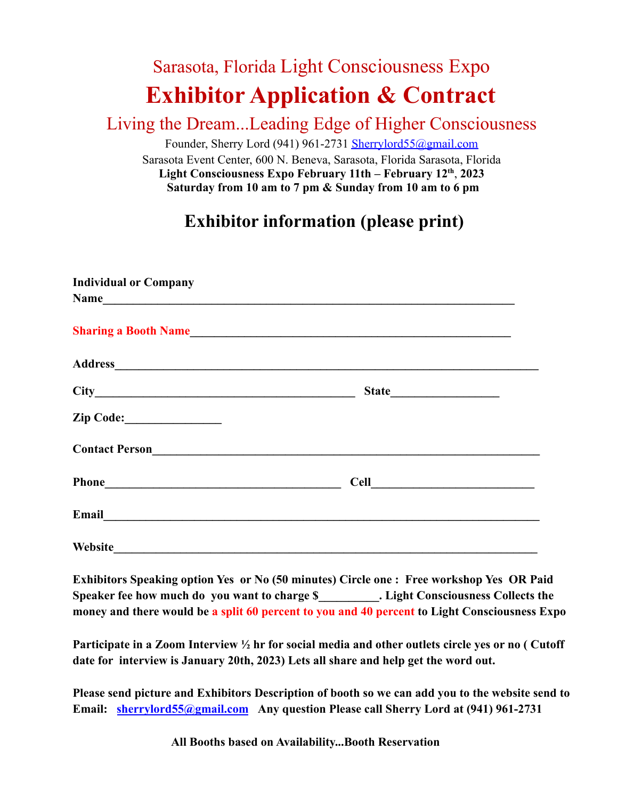# Sarasota, Florida Light Consciousness Expo **Exhibitor Application & Contract**

#### Living the Dream...Leading Edge of Higher Consciousness

Founder, Sherry Lord (941) 961-2731 [Sherrylord55@gmail.com](mailto:Sherrylord55@gmail.com) Sarasota Event Center, 600 N. Beneva, Sarasota, Florida Sarasota, Florida **Light Consciousness Expo February 11th – February 12th** , **2023 Saturday from 10 am to 7 pm & Sunday from 10 am to 6 pm**

### **Exhibitor information (please print)**

| <b>Individual or Company</b><br>Name                                                                                                                                                                                                |                              |  |
|-------------------------------------------------------------------------------------------------------------------------------------------------------------------------------------------------------------------------------------|------------------------------|--|
|                                                                                                                                                                                                                                     | <b>Sharing a Booth Name</b>  |  |
|                                                                                                                                                                                                                                     |                              |  |
|                                                                                                                                                                                                                                     |                              |  |
|                                                                                                                                                                                                                                     |                              |  |
| Contact Person<br><u>Contact Person</u>                                                                                                                                                                                             |                              |  |
|                                                                                                                                                                                                                                     | Cell <u>________________</u> |  |
| Email <u>experience</u> and the series of the series of the series of the series of the series of the series of the series of the series of the series of the series of the series of the series of the series of the series of the |                              |  |
| Website                                                                                                                                                                                                                             |                              |  |

**Exhibitors Speaking option Yes or No (50 minutes) Circle one : Free workshop Yes OR Paid** Speaker fee how much do you want to charge \$ . Light Consciousness Collects the **money and there would be a split 60 percent to you and 40 percent to Light Consciousness Expo**

**Participate in a Zoom Interview ½ hr for social media and other outlets circle yes or no ( Cutoff date for interview is January 20th, 2023) Lets all share and help get the word out.**

**Please send picture and Exhibitors Description of booth so we can add you to the website send to Email: [sherrylord55@gmail.com](mailto:sherrylord55@gmail.com) Any question Please call Sherry Lord at (941) 961-2731**

**All Booths based on Availability...Booth Reservation**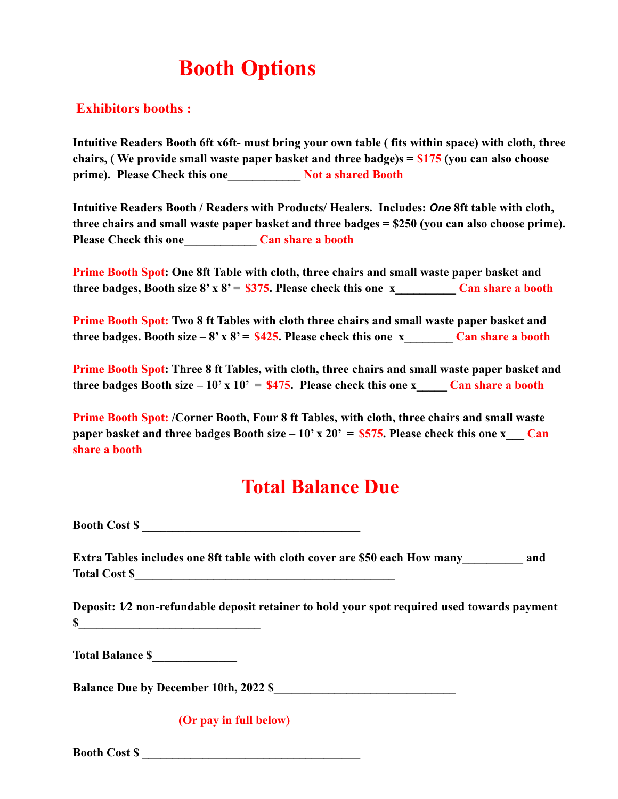# **Booth Options**

#### **Exhibitors booths :**

**Intuitive Readers Booth 6ft x6ft- must bring your own table ( fits within space) with cloth, three chairs, ( We provide small waste paper basket and three badge)s = \$175 (you can also choose prime). Please Check this one\_\_\_\_\_\_\_\_\_\_\_\_ Not a shared Booth**

**Intuitive Readers Booth / Readers with Products/ Healers. Includes:** *One* **8ft table with cloth, three chairs and small waste paper basket and three badges = \$250 (you can also choose prime). Please Check this one\_\_\_\_\_\_\_\_\_\_\_\_ Can share a booth**

**Prime Booth Spot: One 8ft Table with cloth, three chairs and small waste paper basket and three badges, Booth size 8' x 8' =**  $$375$ **. Please check this one x\_\_\_\_\_\_\_\_\_\_\_\_\_ Can share a booth** 

**Prime Booth Spot: Two 8 ft Tables with cloth three chairs and small waste paper basket and three badges. Booth size – 8' x 8' = \$425. Please check this one x\_\_\_\_\_\_\_ Can share a booth** 

**Prime Booth Spot: Three 8 ft Tables, with cloth, three chairs and small waste paper basket and three badges Booth size – 10' x 10' =**  $$475$ **. Please check this one x** Can share a booth

**Prime Booth Spot: /Corner Booth, Four 8 ft Tables, with cloth, three chairs and small waste paper basket and three badges Booth size – 10' x 20' =**  $$575$ **. Please check this one x Can share a booth**

## **Total Balance Due**

**Booth Cost \$** 

**Extra Tables includes one 8ft table with cloth cover are \$50 each How many\_\_\_\_\_\_\_\_\_\_ and Total Cost \$\_\_\_\_\_\_\_\_\_\_\_\_\_\_\_\_\_\_\_\_\_\_\_\_\_\_\_\_\_\_\_\_\_\_\_\_\_\_\_\_\_\_\_**

**Deposit: 1⁄2 non-refundable deposit retainer to hold your spot required used towards payment**  $\sim$ 

**Total Balance \$\_\_\_\_\_\_\_\_\_\_\_\_\_\_**

**Balance Due by December 10th, 2022 \$** 

**(Or pay in full below)**

Booth Cost \$